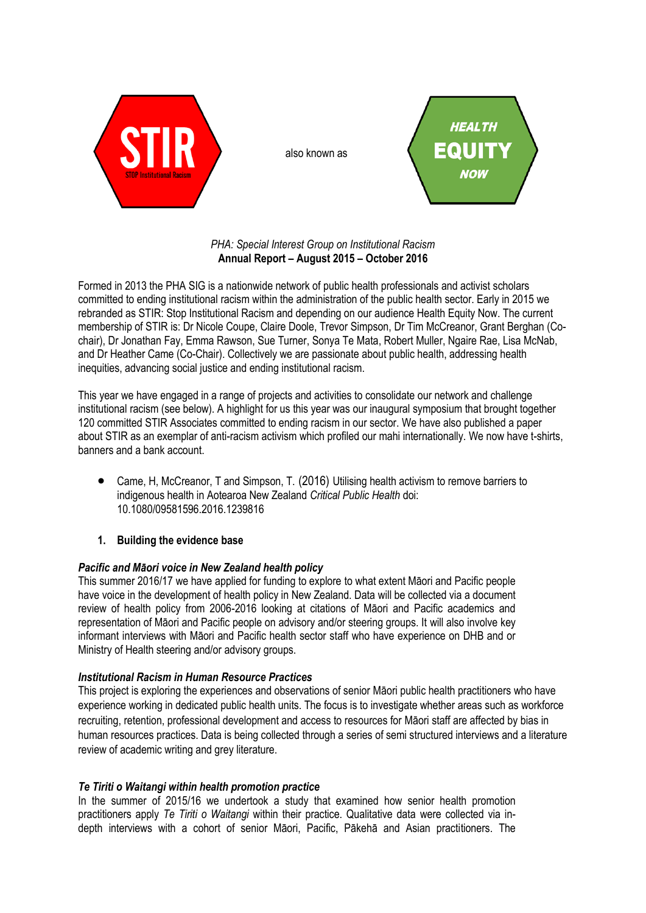

also known as



*PHA: Special Interest Group on Institutional Racism* **Annual Report – August 2015 – October 2016**

Formed in 2013 the PHA SIG is a nationwide network of public health professionals and activist scholars committed to ending institutional racism within the administration of the public health sector. Early in 2015 we rebranded as STIR: Stop Institutional Racism and depending on our audience Health Equity Now. The current membership of STIR is: Dr Nicole Coupe, Claire Doole, Trevor Simpson, Dr Tim McCreanor, Grant Berghan (Cochair), Dr Jonathan Fay, Emma Rawson, Sue Turner, Sonya Te Mata, Robert Muller, Ngaire Rae, Lisa McNab, and Dr Heather Came (Co-Chair). Collectively we are passionate about public health, addressing health inequities, advancing social justice and ending institutional racism.

This year we have engaged in a range of projects and activities to consolidate our network and challenge institutional racism (see below). A highlight for us this year was our inaugural symposium that brought together 120 committed STIR Associates committed to ending racism in our sector. We have also published a paper about STIR as an exemplar of anti-racism activism which profiled our mahi internationally. We now have t-shirts, banners and a bank account.

 Came, H, McCreanor, T and Simpson, T. (2016) Utilising health activism to remove barriers to indigenous health in Aotearoa New Zealand *Critical Public Health* doi: 10.1080/09581596.2016.1239816

# **1. Building the evidence base**

## *Pacific and Māori voice in New Zealand health policy*

This summer 2016/17 we have applied for funding to explore to what extent Māori and Pacific people have voice in the development of health policy in New Zealand. Data will be collected via a document review of health policy from 2006-2016 looking at citations of Māori and Pacific academics and representation of Māori and Pacific people on advisory and/or steering groups. It will also involve key informant interviews with Māori and Pacific health sector staff who have experience on DHB and or Ministry of Health steering and/or advisory groups.

## *Institutional Racism in Human Resource Practices*

This project is exploring the experiences and observations of senior Māori public health practitioners who have experience working in dedicated public health units. The focus is to investigate whether areas such as workforce recruiting, retention, professional development and access to resources for Māori staff are affected by bias in human resources practices. Data is being collected through a series of semi structured interviews and a literature review of academic writing and grey literature.

## *Te Tiriti o Waitangi within health promotion practice*

In the summer of 2015/16 we undertook a study that examined how senior health promotion practitioners apply *Te Tiriti o Waitangi* within their practice. Qualitative data were collected via indepth interviews with a cohort of senior Māori, Pacific, Pākehā and Asian practitioners. The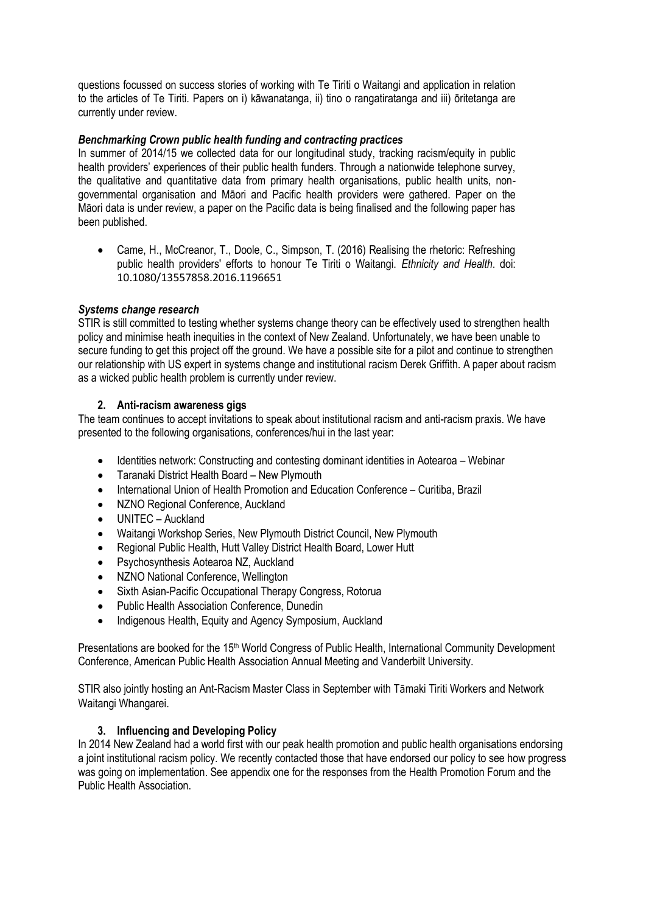questions focussed on success stories of working with Te Tiriti o Waitangi and application in relation to the articles of Te Tiriti. Papers on i) kāwanatanga, ii) tino o rangatiratanga and iii) ōritetanga are currently under review.

## *Benchmarking Crown public health funding and contracting practices*

In summer of 2014/15 we collected data for our longitudinal study, tracking racism/equity in public health providers' experiences of their public health funders. Through a nationwide telephone survey, the qualitative and quantitative data from primary health organisations, public health units, nongovernmental organisation and Māori and Pacific health providers were gathered. Paper on the Māori data is under review, a paper on the Pacific data is being finalised and the following paper has been published.

 Came, H., McCreanor, T., Doole, C., Simpson, T. (2016) Realising the rhetoric: Refreshing public health providers' efforts to honour Te Tiriti o Waitangi. *Ethnicity and Health*. doi: 10.1080/13557858.2016.1196651

### *Systems change research*

STIR is still committed to testing whether systems change theory can be effectively used to strengthen health policy and minimise heath inequities in the context of New Zealand. Unfortunately, we have been unable to secure funding to get this project off the ground. We have a possible site for a pilot and continue to strengthen our relationship with US expert in systems change and institutional racism Derek Griffith. A paper about racism as a wicked public health problem is currently under review.

### **2. Anti-racism awareness gigs**

The team continues to accept invitations to speak about institutional racism and anti-racism praxis. We have presented to the following organisations, conferences/hui in the last year:

- Identities network: Constructing and contesting dominant identities in Aotearoa Webinar
- Taranaki District Health Board New Plymouth
- International Union of Health Promotion and Education Conference Curitiba, Brazil
- NZNO Regional Conference. Auckland
- UNITEC Auckland
- Waitangi Workshop Series, New Plymouth District Council, New Plymouth
- Regional Public Health, Hutt Valley District Health Board, Lower Hutt
- Psychosynthesis Aotearoa NZ, Auckland
- NZNO National Conference, Wellington
- Sixth Asian-Pacific Occupational Therapy Congress, Rotorua
- Public Health Association Conference, Dunedin
- Indigenous Health, Equity and Agency Symposium, Auckland

Presentations are booked for the 15th World Congress of Public Health, International Community Development Conference, American Public Health Association Annual Meeting and Vanderbilt University.

STIR also jointly hosting an Ant-Racism Master Class in September with Tāmaki Tiriti Workers and Network Waitangi Whangarei.

#### **3. Influencing and Developing Policy**

In 2014 New Zealand had a world first with our peak health promotion and public health organisations endorsing a joint institutional racism policy. We recently contacted those that have endorsed our policy to see how progress was going on implementation. See appendix one for the responses from the Health Promotion Forum and the Public Health Association.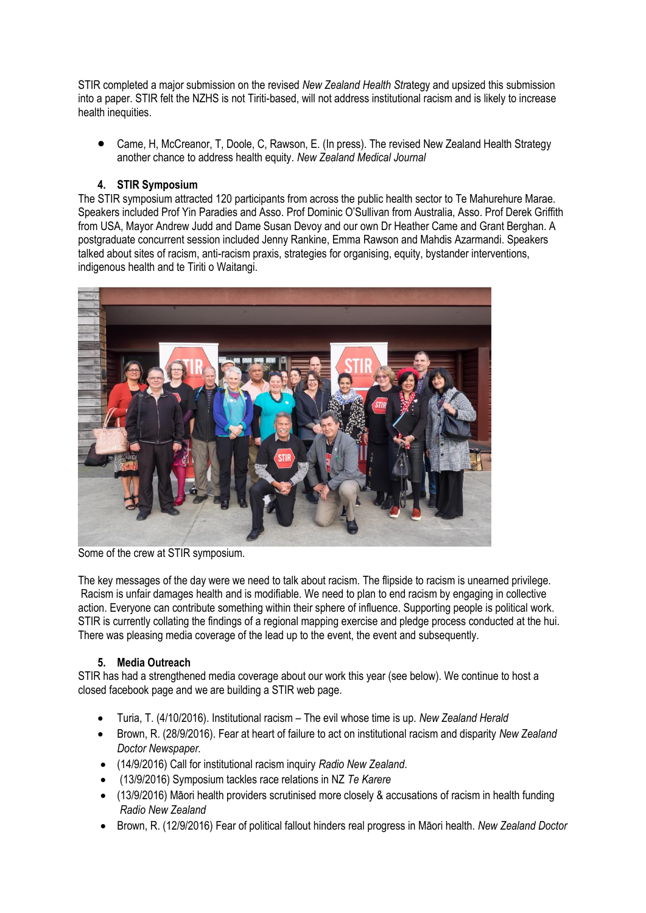STIR completed a major submission on the revised *New Zealand Health Str*ategy and upsized this submission into a paper. STIR felt the NZHS is not Tiriti-based, will not address institutional racism and is likely to increase health inequities.

 Came, H, McCreanor, T, Doole, C, Rawson, E. (In press). The revised New Zealand Health Strategy another chance to address health equity. *New Zealand Medical Journal*

## **4. STIR Symposium**

The STIR symposium attracted 120 participants from across the public health sector to Te Mahurehure Marae. Speakers included Prof Yin Paradies and Asso. Prof Dominic O'Sullivan from Australia, Asso. Prof Derek Griffith from USA, Mayor Andrew Judd and Dame Susan Devoy and our own Dr Heather Came and Grant Berghan. A postgraduate concurrent session included Jenny Rankine, Emma Rawson and Mahdis Azarmandi. Speakers talked about sites of racism, anti-racism praxis, strategies for organising, equity, bystander interventions, indigenous health and te Tiriti o Waitangi.



Some of the crew at STIR symposium.

The key messages of the day were we need to talk about racism. The flipside to racism is unearned privilege. Racism is unfair damages health and is modifiable. We need to plan to end racism by engaging in collective action. Everyone can contribute something within their sphere of influence. Supporting people is political work. STIR is currently collating the findings of a regional mapping exercise and pledge process conducted at the hui. There was pleasing media coverage of the lead up to the event, the event and subsequently.

# **5. Media Outreach**

STIR has had a strengthened media coverage about our work this year (see below). We continue to host a closed facebook page and we are building a STIR web page.

- Turia, T. (4/10/2016). Institutional racism The evil whose time is up*. New Zealand Herald*
- Brown, R. (28/9/2016). Fear at heart of failure to act on institutional racism and disparity *New Zealand Doctor Newspaper.*
- (14/9/2016) Call for institutional racism inquiry *Radio New Zealand*.
- (13/9/2016) Symposium tackles race relations in NZ *Te Karere*
- (13/9/2016) Māori health providers scrutinised more closely & accusations of racism in health funding *Radio New Zealand*
- Brown, R. (12/9/2016) Fear of political fallout hinders real progress in Māori health. *New Zealand Doctor*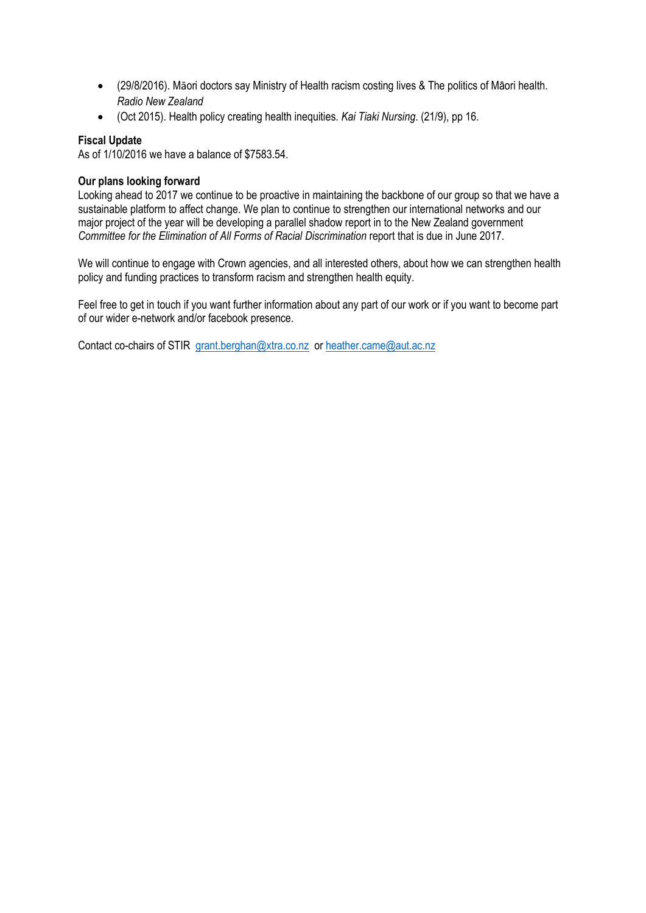- (29/8/2016). Māori doctors say Ministry of Health racism costing lives & The politics of Māori health. *Radio New Zealand*
- (Oct 2015). Health policy creating health inequities. *Kai Tiaki Nursing*. (21/9), pp 16.

## **Fiscal Update**

As of 1/10/2016 we have a balance of \$7583.54.

## **Our plans looking forward**

Looking ahead to 2017 we continue to be proactive in maintaining the backbone of our group so that we have a sustainable platform to affect change. We plan to continue to strengthen our international networks and our major project of the year will be developing a parallel shadow report in to the New Zealand government *Committee for the Elimination of All Forms of Racial Discrimination* report that is due in June 2017.

We will continue to engage with Crown agencies, and all interested others, about how we can strengthen health policy and funding practices to transform racism and strengthen health equity.

Feel free to get in touch if you want further information about any part of our work or if you want to become part of our wider e-network and/or facebook presence.

Contact co-chairs of STIR [grant.berghan@xtra.co.nz](mailto:grant.berghan@xtra.co.nz) or [heather.came@aut.ac.nz](mailto:heather.came@aut.ac.nz)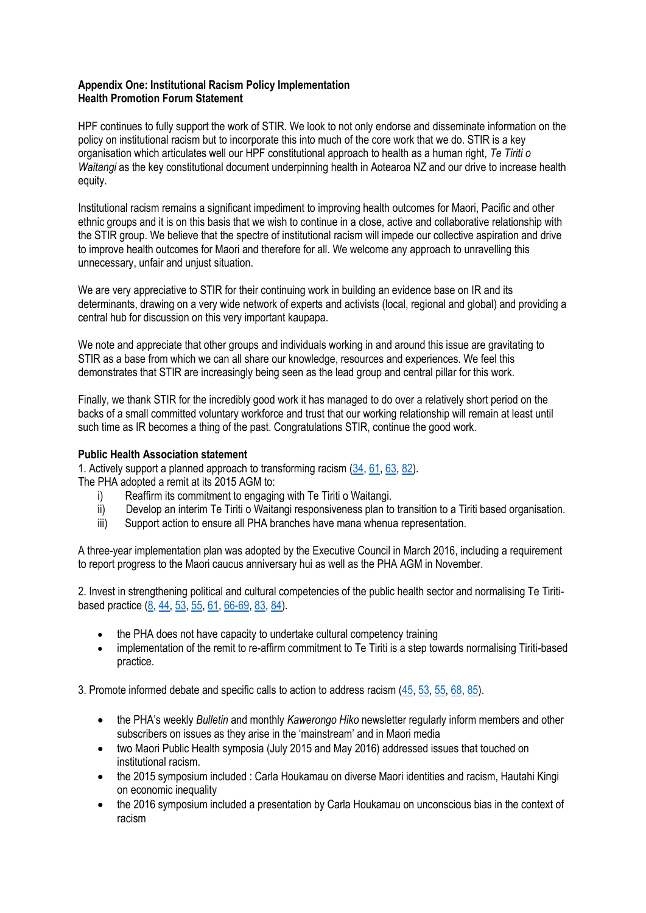### **Appendix One: Institutional Racism Policy Implementation Health Promotion Forum Statement**

HPF continues to fully support the work of STIR. We look to not only endorse and disseminate information on the policy on institutional racism but to incorporate this into much of the core work that we do. STIR is a key organisation which articulates well our HPF constitutional approach to health as a human right, *Te Tiriti o Waitangi* as the key constitutional document underpinning health in Aotearoa NZ and our drive to increase health equity.

Institutional racism remains a significant impediment to improving health outcomes for Maori, Pacific and other ethnic groups and it is on this basis that we wish to continue in a close, active and collaborative relationship with the STIR group. We believe that the spectre of institutional racism will impede our collective aspiration and drive to improve health outcomes for Maori and therefore for all. We welcome any approach to unravelling this unnecessary, unfair and unjust situation.

We are very appreciative to STIR for their continuing work in building an evidence base on IR and its determinants, drawing on a very wide network of experts and activists (local, regional and global) and providing a central hub for discussion on this very important kaupapa.

We note and appreciate that other groups and individuals working in and around this issue are gravitating to STIR as a base from which we can all share our knowledge, resources and experiences. We feel this demonstrates that STIR are increasingly being seen as the lead group and central pillar for this work.

Finally, we thank STIR for the incredibly good work it has managed to do over a relatively short period on the backs of a small committed voluntary workforce and trust that our working relationship will remain at least until such time as IR becomes a thing of the past. Congratulations STIR, continue the good work.

## **Public Health Association statement**

1. Actively support a planned approach to transforming racism [\(34,](x-msg://52/#x__ENREF_34) [61,](x-msg://52/#x__ENREF_61) [63,](x-msg://52/#x__ENREF_63) [82\)](x-msg://52/#x__ENREF_82).

The PHA adopted a remit at its 2015 AGM to:

- i) Reaffirm its commitment to engaging with Te Tiriti o Waitangi.
- ii) Develop an interim Te Tiriti o Waitangi responsiveness plan to transition to a Tiriti based organisation.
- iii) Support action to ensure all PHA branches have mana whenua representation.

A three-year implementation plan was adopted by the Executive Council in March 2016, including a requirement to report progress to the Maori caucus anniversary hui as well as the PHA AGM in November.

2. Invest in strengthening political and cultural competencies of the public health sector and normalising Te Tiritibased practice [\(8,](x-msg://52/#x__ENREF_8) [44,](x-msg://52/#x__ENREF_44) [53,](x-msg://52/#x__ENREF_53) [55,](x-msg://52/#x__ENREF_55) [61,](x-msg://52/#x__ENREF_61) [66-69,](x-msg://52/#x__ENREF_66) [83,](x-msg://52/#x__ENREF_83) [84\)](x-msg://52/#x__ENREF_84).

- the PHA does not have capacity to undertake cultural competency training
- implementation of the remit to re-affirm commitment to Te Tiriti is a step towards normalising Tiriti-based practice.

3. Promote informed debate and specific calls to action to address racism [\(45,](x-msg://52/#x__ENREF_45) [53,](x-msg://52/#x__ENREF_53) [55,](x-msg://52/#x__ENREF_55) [68,](x-msg://52/#x__ENREF_68) [85\)](x-msg://52/#x__ENREF_85).

- the PHA's weekly *Bulletin* and monthly *Kawerongo Hiko* newsletter regularly inform members and other subscribers on issues as they arise in the 'mainstream' and in Maori media
- two Maori Public Health symposia (July 2015 and May 2016) addressed issues that touched on institutional racism.
- the 2015 symposium included : Carla Houkamau on diverse Maori identities and racism, Hautahi Kingi on economic inequality
- the 2016 symposium included a presentation by Carla Houkamau on unconscious bias in the context of racism